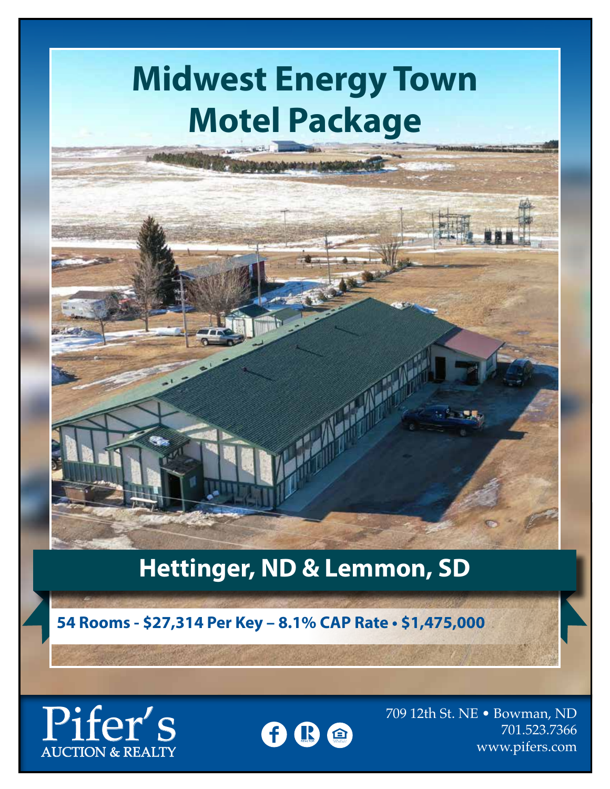# **Midwest Energy Town Motel Package**

### **Hettinger, ND & Lemmon, SD**

**54 Rooms - \$27,314 Per Key – 8.1% CAP Rate • \$1,475,000**

AUCTION & REALTY



709 12th St. NE • Bowman, ND Ther's <sup>709</sup> 12th St. NE • Bowman, ND<br>AUCTION & REALTY **B**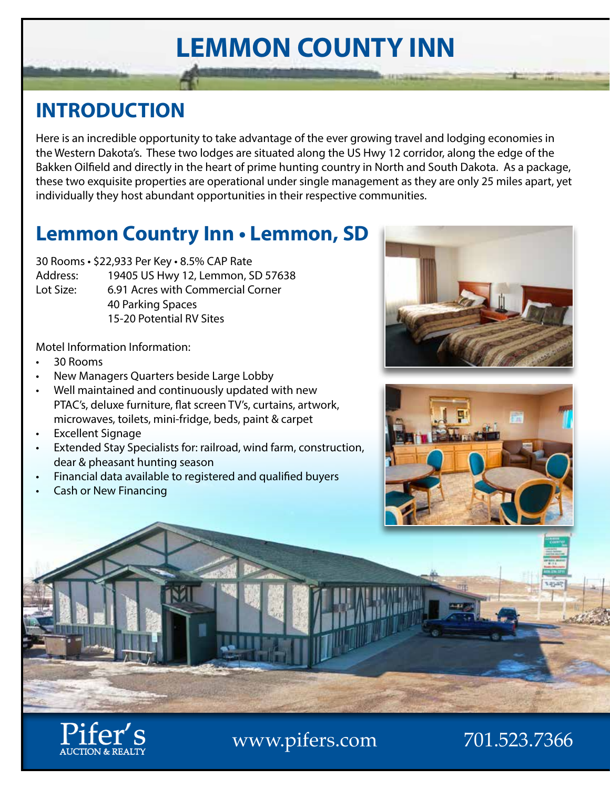# **LEMMON COUNTY INN**

#### **INTRODUCTION**

Here is an incredible opportunity to take advantage of the ever growing travel and lodging economies in the Western Dakota's. These two lodges are situated along the US Hwy 12 corridor, along the edge of the Bakken Oilfield and directly in the heart of prime hunting country in North and South Dakota. As a package, these two exquisite properties are operational under single management as they are only 25 miles apart, yet individually they host abundant opportunities in their respective communities.

#### **Lemmon Country Inn • Lemmon, SD**

30 Rooms • \$22,933 Per Key • 8.5% CAP Rate

- Address: 19405 US Hwy 12, Lemmon, SD 57638
- Lot Size: 6.91 Acres with Commercial Corner 40 Parking Spaces 15-20 Potential RV Sites

Motel Information Information:

- 30 Rooms
- New Managers Quarters beside Large Lobby
- Well maintained and continuously updated with new PTAC's, deluxe furniture, flat screen TV's, curtains, artwork, microwaves, toilets, mini-fridge, beds, paint & carpet
- **Excellent Signage**
- Extended Stay Specialists for: railroad, wind farm, construction, dear & pheasant hunting season
- Financial data available to registered and qualified buyers
- Cash or New Financing

AUCTION & REALTY







www.pifers.com 701.523.7366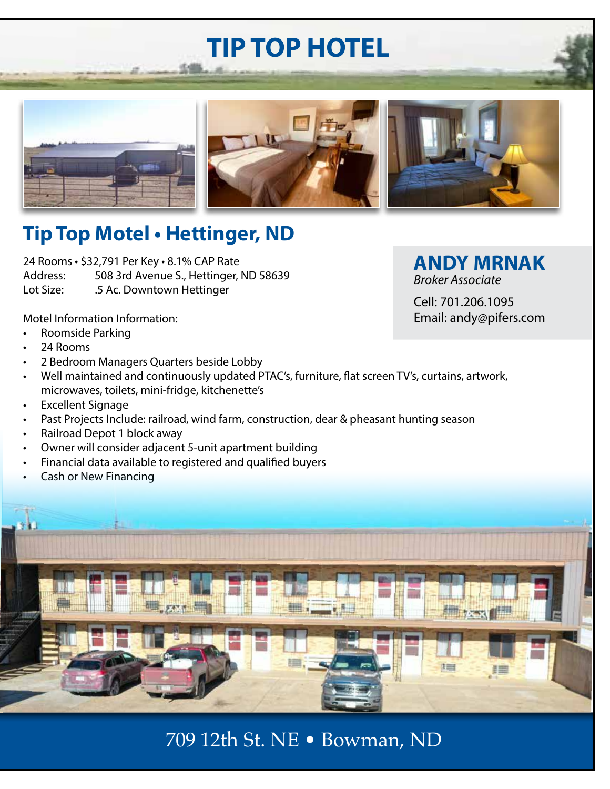## **TIP TOP HOTEL**







#### **Tip Top Motel • Hettinger, ND**

24 Rooms • \$32,791 Per Key • 8.1% CAP Rate Address: 508 3rd Avenue S., Hettinger, ND 58639 Lot Size: .5 Ac. Downtown Hettinger

**ANDY MRNAK** *Broker Associate*

Cell: 701.206.1095 Email: andy@pifers.com

Motel Information Information:

- Roomside Parking
- 24 Rooms
- 2 Bedroom Managers Quarters beside Lobby
- Well maintained and continuously updated PTAC's, furniture, flat screen TV's, curtains, artwork, microwaves, toilets, mini-fridge, kitchenette's
- Excellent Signage
- Past Projects Include: railroad, wind farm, construction, dear & pheasant hunting season
- Railroad Depot 1 block away
- Owner will consider adjacent 5-unit apartment building
- Financial data available to registered and qualified buyers
- Cash or New Financing



709 12th St. NE • Bowman, ND